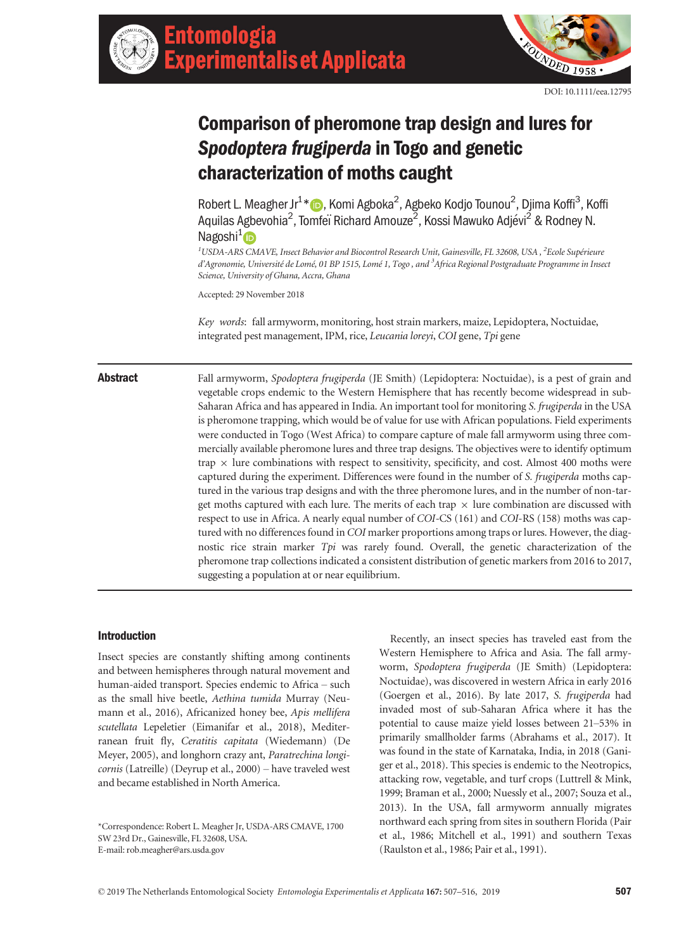



# Comparison of pheromone trap design and lures for Spodoptera frugiperda in Togo and genetic characterization of moths caught

Robert L. Meagher Jr<sup>1</sup>[\\*](https://orcid.org/0000-0003-2769-1043) D, Komi Agboka<sup>2</sup>, Agbeko Kodjo Tounou<sup>2</sup>, Djima Koffi<sup>3</sup>, Koffi Aquilas Agbevohia<sup>2</sup>, Tomfeï Richard Amouze<sup>2</sup>, Kossi Mawuko Adjévi<sup>2</sup> & Rodney N. Nagoshi<sup>[1](https://orcid.org/0000-0003-4881-4014)</sup> (D

 $^1$ USDA-ARS CMAVE, Insect Behavior and Biocontrol Research Unit, Gainesville, FL 32608, USA ,  $^2$ Ecole Supérieure d'Agronomie, Université de Lomé, 01 BP 1515, Lomé 1, Togo , and <sup>3</sup>Africa Regional Postgraduate Programme in Insect Science, University of Ghana, Accra, Ghana

Accepted: 29 November 2018

Key words: fall armyworm, monitoring, host strain markers, maize, Lepidoptera, Noctuidae, integrated pest management, IPM, rice, Leucania loreyi, COI gene, Tpi gene

Abstract Fall armyworm, Spodoptera frugiperda (JE Smith) (Lepidoptera: Noctuidae), is a pest of grain and vegetable crops endemic to the Western Hemisphere that has recently become widespread in sub-Saharan Africa and has appeared in India. An important tool for monitoring S. frugiperda in the USA is pheromone trapping, which would be of value for use with African populations. Field experiments were conducted in Togo (West Africa) to compare capture of male fall armyworm using three commercially available pheromone lures and three trap designs. The objectives were to identify optimum trap  $\times$  lure combinations with respect to sensitivity, specificity, and cost. Almost 400 moths were captured during the experiment. Differences were found in the number of S. frugiperda moths captured in the various trap designs and with the three pheromone lures, and in the number of non-target moths captured with each lure. The merits of each trap  $\times$  lure combination are discussed with respect to use in Africa. A nearly equal number of COI-CS (161) and COI-RS (158) moths was captured with no differences found in COI marker proportions among traps or lures. However, the diagnostic rice strain marker Tpi was rarely found. Overall, the genetic characterization of the pheromone trap collections indicated a consistent distribution of genetic markers from 2016 to 2017, suggesting a population at or near equilibrium.

# Introduction

Insect species are constantly shifting among continents and between hemispheres through natural movement and human-aided transport. Species endemic to Africa – such as the small hive beetle, Aethina tumida Murray (Neumann et al., 2016), Africanized honey bee, Apis mellifera scutellata Lepeletier (Eimanifar et al., 2018), Mediterranean fruit fly, Ceratitis capitata (Wiedemann) (De Meyer, 2005), and longhorn crazy ant, Paratrechina longicornis (Latreille) (Deyrup et al., 2000) – have traveled west and became established in North America.

\*Correspondence: Robert L. Meagher Jr, USDA-ARS CMAVE, 1700 SW 23rd Dr., Gainesville, FL 32608, USA. E-mail: [rob.meagher@ars.usda.gov](mailto:)

Recently, an insect species has traveled east from the Western Hemisphere to Africa and Asia. The fall armyworm, Spodoptera frugiperda (JE Smith) (Lepidoptera: Noctuidae), was discovered in western Africa in early 2016 (Goergen et al., 2016). By late 2017, S. frugiperda had invaded most of sub-Saharan Africa where it has the potential to cause maize yield losses between 21–53% in primarily smallholder farms (Abrahams et al., 2017). It was found in the state of Karnataka, India, in 2018 (Ganiger et al., 2018). This species is endemic to the Neotropics, attacking row, vegetable, and turf crops (Luttrell & Mink, 1999; Braman et al., 2000; Nuessly et al., 2007; Souza et al., 2013). In the USA, fall armyworm annually migrates northward each spring from sites in southern Florida (Pair et al., 1986; Mitchell et al., 1991) and southern Texas (Raulston et al., 1986; Pair et al., 1991).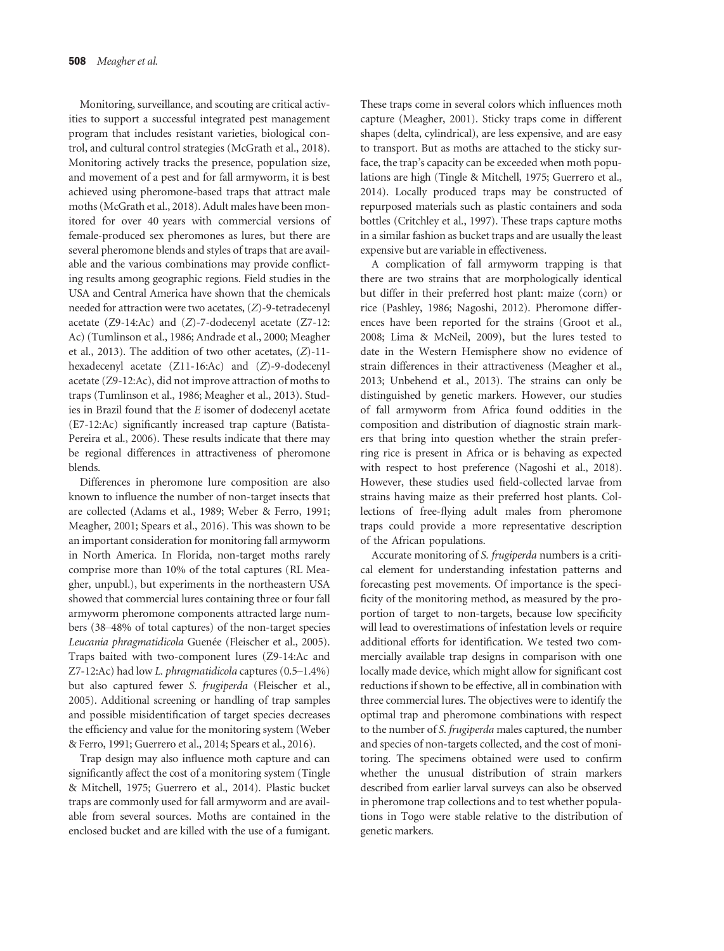Monitoring, surveillance, and scouting are critical activities to support a successful integrated pest management program that includes resistant varieties, biological control, and cultural control strategies (McGrath et al., 2018). Monitoring actively tracks the presence, population size, and movement of a pest and for fall armyworm, it is best achieved using pheromone-based traps that attract male moths (McGrath et al., 2018). Adult males have been monitored for over 40 years with commercial versions of female-produced sex pheromones as lures, but there are several pheromone blends and styles of traps that are available and the various combinations may provide conflicting results among geographic regions. Field studies in the USA and Central America have shown that the chemicals needed for attraction were two acetates, (Z)-9-tetradecenyl acetate  $(Z9-14:Ac)$  and  $(Z)-7$ -dodecenyl acetate  $(Z7-12:$ Ac) (Tumlinson et al., 1986; Andrade et al., 2000; Meagher et al., 2013). The addition of two other acetates, (Z)-11 hexadecenyl acetate (Z11-16:Ac) and (Z)-9-dodecenyl acetate (Z9-12:Ac), did not improve attraction of moths to traps (Tumlinson et al., 1986; Meagher et al., 2013). Studies in Brazil found that the E isomer of dodecenyl acetate (E7-12:Ac) significantly increased trap capture (Batista-Pereira et al., 2006). These results indicate that there may be regional differences in attractiveness of pheromone blends.

Differences in pheromone lure composition are also known to influence the number of non-target insects that are collected (Adams et al., 1989; Weber & Ferro, 1991; Meagher, 2001; Spears et al., 2016). This was shown to be an important consideration for monitoring fall armyworm in North America. In Florida, non-target moths rarely comprise more than 10% of the total captures (RL Meagher, unpubl.), but experiments in the northeastern USA showed that commercial lures containing three or four fall armyworm pheromone components attracted large numbers (38–48% of total captures) of the non-target species Leucania phragmatidicola Guenée (Fleischer et al., 2005). Traps baited with two-component lures (Z9-14:Ac and Z7-12:Ac) had low L. phragmatidicola captures (0.5–1.4%) but also captured fewer S. frugiperda (Fleischer et al., 2005). Additional screening or handling of trap samples and possible misidentification of target species decreases the efficiency and value for the monitoring system (Weber & Ferro, 1991; Guerrero et al., 2014; Spears et al., 2016).

Trap design may also influence moth capture and can significantly affect the cost of a monitoring system (Tingle & Mitchell, 1975; Guerrero et al., 2014). Plastic bucket traps are commonly used for fall armyworm and are available from several sources. Moths are contained in the enclosed bucket and are killed with the use of a fumigant.

These traps come in several colors which influences moth capture (Meagher, 2001). Sticky traps come in different shapes (delta, cylindrical), are less expensive, and are easy to transport. But as moths are attached to the sticky surface, the trap's capacity can be exceeded when moth populations are high (Tingle & Mitchell, 1975; Guerrero et al., 2014). Locally produced traps may be constructed of repurposed materials such as plastic containers and soda bottles (Critchley et al., 1997). These traps capture moths in a similar fashion as bucket traps and are usually the least expensive but are variable in effectiveness.

A complication of fall armyworm trapping is that there are two strains that are morphologically identical but differ in their preferred host plant: maize (corn) or rice (Pashley, 1986; Nagoshi, 2012). Pheromone differences have been reported for the strains (Groot et al., 2008; Lima & McNeil, 2009), but the lures tested to date in the Western Hemisphere show no evidence of strain differences in their attractiveness (Meagher et al., 2013; Unbehend et al., 2013). The strains can only be distinguished by genetic markers. However, our studies of fall armyworm from Africa found oddities in the composition and distribution of diagnostic strain markers that bring into question whether the strain preferring rice is present in Africa or is behaving as expected with respect to host preference (Nagoshi et al., 2018). However, these studies used field-collected larvae from strains having maize as their preferred host plants. Collections of free-flying adult males from pheromone traps could provide a more representative description of the African populations.

Accurate monitoring of S. frugiperda numbers is a critical element for understanding infestation patterns and forecasting pest movements. Of importance is the specificity of the monitoring method, as measured by the proportion of target to non-targets, because low specificity will lead to overestimations of infestation levels or require additional efforts for identification. We tested two commercially available trap designs in comparison with one locally made device, which might allow for significant cost reductions if shown to be effective, all in combination with three commercial lures. The objectives were to identify the optimal trap and pheromone combinations with respect to the number of S. frugiperda males captured, the number and species of non-targets collected, and the cost of monitoring. The specimens obtained were used to confirm whether the unusual distribution of strain markers described from earlier larval surveys can also be observed in pheromone trap collections and to test whether populations in Togo were stable relative to the distribution of genetic markers.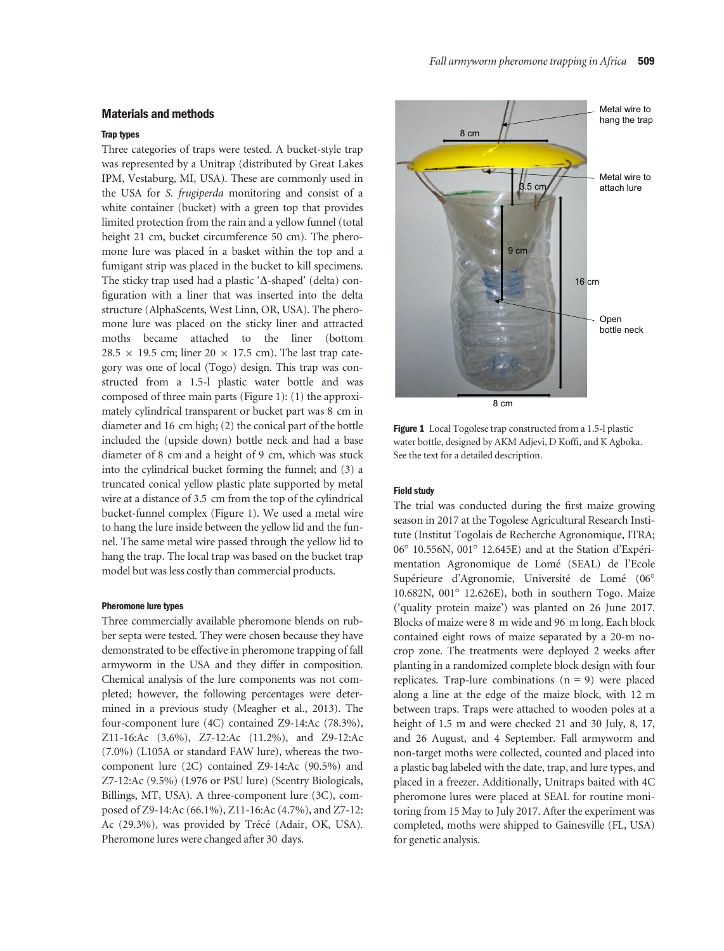# Materials and methods

# Trap types

Three categories of traps were tested. A bucket-style trap was represented by a Unitrap (distributed by Great Lakes IPM, Vestaburg, MI, USA). These are commonly used in the USA for S. frugiperda monitoring and consist of a white container (bucket) with a green top that provides limited protection from the rain and a yellow funnel (total height 21 cm, bucket circumference 50 cm). The pheromone lure was placed in a basket within the top and a fumigant strip was placed in the bucket to kill specimens. The sticky trap used had a plastic ' $\Delta$ -shaped' (delta) configuration with a liner that was inserted into the delta structure (AlphaScents, West Linn, OR, USA). The pheromone lure was placed on the sticky liner and attracted moths became attached to the liner (bottom 28.5  $\times$  19.5 cm; liner 20  $\times$  17.5 cm). The last trap category was one of local (Togo) design. This trap was constructed from a 1.5-l plastic water bottle and was composed of three main parts (Figure 1): (1) the approximately cylindrical transparent or bucket part was 8 cm in diameter and 16 cm high; (2) the conical part of the bottle included the (upside down) bottle neck and had a base diameter of 8 cm and a height of 9 cm, which was stuck into the cylindrical bucket forming the funnel; and (3) a truncated conical yellow plastic plate supported by metal wire at a distance of 3.5 cm from the top of the cylindrical bucket-funnel complex (Figure 1). We used a metal wire to hang the lure inside between the yellow lid and the funnel. The same metal wire passed through the yellow lid to hang the trap. The local trap was based on the bucket trap model but was less costly than commercial products.

# Pheromone lure types

Three commercially available pheromone blends on rubber septa were tested. They were chosen because they have demonstrated to be effective in pheromone trapping of fall armyworm in the USA and they differ in composition. Chemical analysis of the lure components was not completed; however, the following percentages were determined in a previous study (Meagher et al., 2013). The four-component lure (4C) contained Z9-14:Ac (78.3%), Z11-16:Ac (3.6%), Z7-12:Ac (11.2%), and Z9-12:Ac (7.0%) (L105A or standard FAW lure), whereas the twocomponent lure (2C) contained Z9-14:Ac (90.5%) and Z7-12:Ac (9.5%) (L976 or PSU lure) (Scentry Biologicals, Billings, MT, USA). A three-component lure (3C), composed of Z9-14:Ac (66.1%), Z11-16:Ac (4.7%), and Z7-12: Ac (29.3%), was provided by Trécé (Adair, OK, USA). Pheromone lures were changed after 30 days.



Figure 1 Local Togolese trap constructed from a 1.5-l plastic water bottle, designed by AKM Adjevi, D Koffi, and K Agboka. See the text for a detailed description.

#### Field study

The trial was conducted during the first maize growing season in 2017 at the Togolese Agricultural Research Institute (Institut Togolais de Recherche Agronomique, ITRA; 06° 10.556N, 001° 12.645E) and at the Station d'Expérimentation Agronomique de Lomé (SEAL) de l'Ecole Supérieure d'Agronomie, Université de Lomé (06° 10.682N, 001° 12.626E), both in southern Togo. Maize ('quality protein maize') was planted on 26 June 2017. Blocks of maize were 8 m wide and 96 m long. Each block contained eight rows of maize separated by a 20-m nocrop zone. The treatments were deployed 2 weeks after planting in a randomized complete block design with four replicates. Trap-lure combinations  $(n = 9)$  were placed along a line at the edge of the maize block, with 12 m between traps. Traps were attached to wooden poles at a height of 1.5 m and were checked 21 and 30 July, 8, 17, and 26 August, and 4 September. Fall armyworm and non-target moths were collected, counted and placed into a plastic bag labeled with the date, trap, and lure types, and placed in a freezer. Additionally, Unitraps baited with 4C pheromone lures were placed at SEAL for routine monitoring from 15 May to July 2017. After the experiment was completed, moths were shipped to Gainesville (FL, USA) for genetic analysis.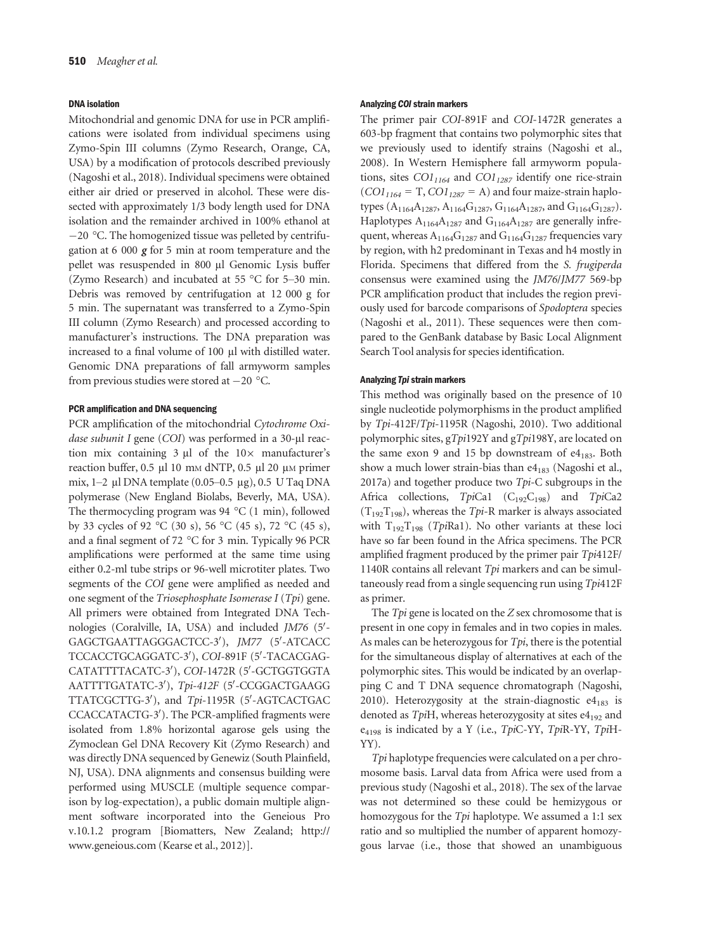#### DNA isolation

Mitochondrial and genomic DNA for use in PCR amplifications were isolated from individual specimens using Zymo-Spin III columns (Zymo Research, Orange, CA, USA) by a modification of protocols described previously (Nagoshi et al., 2018). Individual specimens were obtained either air dried or preserved in alcohol. These were dissected with approximately 1/3 body length used for DNA isolation and the remainder archived in 100% ethanol at  $-20$  °C. The homogenized tissue was pelleted by centrifugation at 6 000  $\gamma$  for 5 min at room temperature and the pellet was resuspended in 800 µl Genomic Lysis buffer (Zymo Research) and incubated at 55 °C for 5–30 min. Debris was removed by centrifugation at 12 000 g for 5 min. The supernatant was transferred to a Zymo-Spin III column (Zymo Research) and processed according to manufacturer's instructions. The DNA preparation was increased to a final volume of 100 µl with distilled water. Genomic DNA preparations of fall armyworm samples from previous studies were stored at  $-20$  °C.

#### PCR amplification and DNA sequencing

PCR amplification of the mitochondrial Cytochrome Oxidase subunit I gene (COI) was performed in a 30-µl reaction mix containing  $3 \text{ ul}$  of the  $10 \times$  manufacturer's reaction buffer,  $0.5 \mu$ l 10 mm dNTP,  $0.5 \mu$ l 20  $\mu$ m primer mix, 1–2 µl DNA template (0.05–0.5 µg), 0.5 U Taq DNA polymerase (New England Biolabs, Beverly, MA, USA). The thermocycling program was 94 °C (1 min), followed by 33 cycles of 92 °C (30 s), 56 °C (45 s), 72 °C (45 s), and a final segment of 72 °C for 3 min. Typically 96 PCR amplifications were performed at the same time using either 0.2-ml tube strips or 96-well microtiter plates. Two segments of the COI gene were amplified as needed and one segment of the Triosephosphate Isomerase I (Tpi) gene. All primers were obtained from Integrated DNA Technologies (Coralville, IA, USA) and included JM76 (5'-GAGCTGAATTAGGGACTCC-3′), JM77 (5′-ATCACC TCCACCTGCAGGATC-3′), COI-891F (5′-TACACGAG-CATATTTTACATC-3′), COI-1472R (5′-GCTGGTGGTA AATTTTGATATC-3′), *Tpi-412F* (5′-CCGGACTGAAGG TTATCGCTTG-3'), and *Tpi*-1195R (5'-AGTCACTGAC CCACCATACTG-3'). The PCR-amplified fragments were isolated from 1.8% horizontal agarose gels using the Zymoclean Gel DNA Recovery Kit (Zymo Research) and was directly DNA sequenced by Genewiz (South Plainfield, NJ, USA). DNA alignments and consensus building were performed using MUSCLE (multiple sequence comparison by log-expectation), a public domain multiple alignment software incorporated into the Geneious Pro v.10.1.2 program [Biomatters, New Zealand; [http://](http://www.geneious.com) [www.geneious.com](http://www.geneious.com) (Kearse et al., 2012)].

#### Analyzing COI strain markers

The primer pair COI-891F and COI-1472R generates a 603-bp fragment that contains two polymorphic sites that we previously used to identify strains (Nagoshi et al., 2008). In Western Hemisphere fall armyworm populations, sites  $CO1_{1164}$  and  $CO1_{1287}$  identify one rice-strain  $(COI<sub>1164</sub> = T, CO1<sub>1287</sub> = A)$  and four maize-strain haplotypes (A<sub>1164</sub>A<sub>1287</sub>, A<sub>1164</sub>G<sub>1287</sub>, G<sub>1164</sub>A<sub>1287</sub>, and G<sub>1164</sub>G<sub>1287</sub>). Haplotypes  $A_{1164}A_{1287}$  and  $G_{1164}A_{1287}$  are generally infrequent, whereas  $A_{1164}G_{1287}$  and  $G_{1164}G_{1287}$  frequencies vary by region, with h2 predominant in Texas and h4 mostly in Florida. Specimens that differed from the S. frugiperda consensus were examined using the JM76/JM77 569-bp PCR amplification product that includes the region previously used for barcode comparisons of Spodoptera species (Nagoshi et al., 2011). These sequences were then compared to the GenBank database by Basic Local Alignment Search Tool analysis for species identification.

#### Analyzing Tpi strain markers

This method was originally based on the presence of 10 single nucleotide polymorphisms in the product amplified by Tpi-412F/Tpi-1195R (Nagoshi, 2010). Two additional polymorphic sites, gTpi192Y and gTpi198Y, are located on the same exon 9 and 15 bp downstream of  $e4_{183}$ . Both show a much lower strain-bias than  $e4_{183}$  (Nagoshi et al., 2017a) and together produce two  $Tpi$ -C subgroups in the Africa collections,  $TpiCal$  (C<sub>192</sub>C<sub>198</sub>) and  $TpiCa2$  $(T_{192}T_{198})$ , whereas the Tpi-R marker is always associated with  $T_{192}T_{198}$  (*TpiRa1*). No other variants at these loci have so far been found in the Africa specimens. The PCR amplified fragment produced by the primer pair Tpi412F/ 1140R contains all relevant Tpi markers and can be simultaneously read from a single sequencing run using Tpi412F as primer.

The  $Tpi$  gene is located on the  $Z$  sex chromosome that is present in one copy in females and in two copies in males. As males can be heterozygous for  $Tpi$ , there is the potential for the simultaneous display of alternatives at each of the polymorphic sites. This would be indicated by an overlapping C and T DNA sequence chromatograph (Nagoshi, 2010). Heterozygosity at the strain-diagnostic  $e4_{183}$  is denoted as  $TpiH$ , whereas heterozygosity at sites e $4_{192}$  and  $e_{4198}$  is indicated by a Y (i.e., TpiC-YY, TpiR-YY, TpiH-YY).

Tpi haplotype frequencies were calculated on a per chromosome basis. Larval data from Africa were used from a previous study (Nagoshi et al., 2018). The sex of the larvae was not determined so these could be hemizygous or homozygous for the Tpi haplotype. We assumed a 1:1 sex ratio and so multiplied the number of apparent homozygous larvae (i.e., those that showed an unambiguous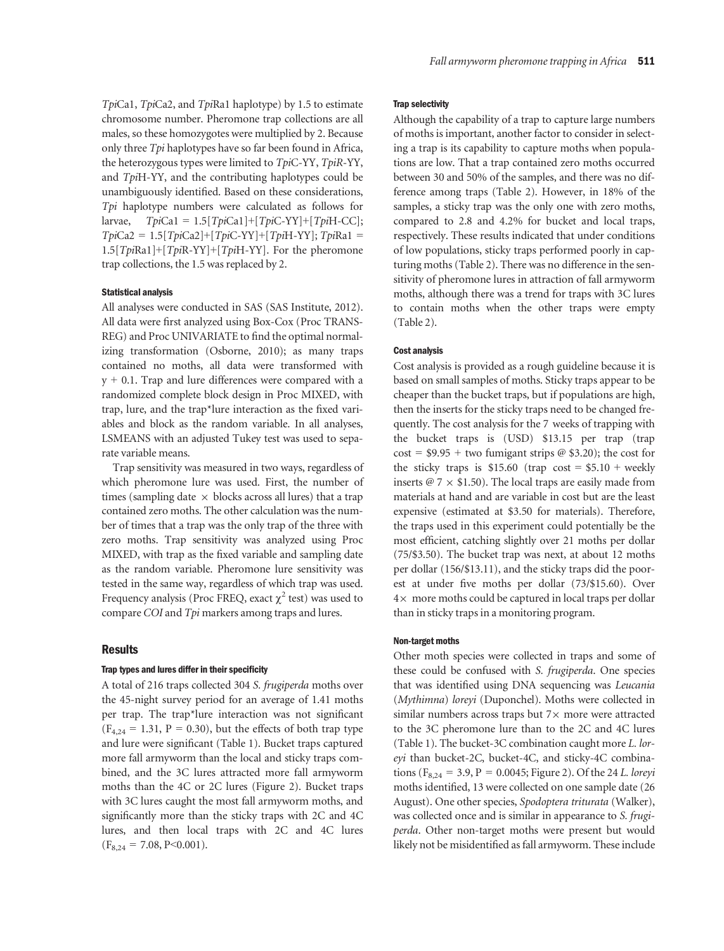TpiCa1, TpiCa2, and TpiRa1 haplotype) by 1.5 to estimate chromosome number. Pheromone trap collections are all males, so these homozygotes were multiplied by 2. Because only three Tpi haplotypes have so far been found in Africa, the heterozygous types were limited to TpiC-YY, TpiR-YY, and TpiH-YY, and the contributing haplotypes could be unambiguously identified. Based on these considerations, Tpi haplotype numbers were calculated as follows for larvae,  $TpiCal = 1.5[TpiCal]+[TpiC-YY]+[TpiH-CC];$  $TpiCa2 = 1.5[TpiCa2] + [TpiC-YY] + [TpiH-YY]$ ;  $TpiRa1 =$  $1.5[TpiRa1]+[TpiR-YY]+[TpiH-YY]$ . For the pheromone trap collections, the 1.5 was replaced by 2.

# Statistical analysis

All analyses were conducted in SAS (SAS Institute, 2012). All data were first analyzed using Box-Cox (Proc TRANS-REG) and Proc UNIVARIATE to find the optimal normalizing transformation (Osborne, 2010); as many traps contained no moths, all data were transformed with  $y + 0.1$ . Trap and lure differences were compared with a randomized complete block design in Proc MIXED, with trap, lure, and the trap\*lure interaction as the fixed variables and block as the random variable. In all analyses, LSMEANS with an adjusted Tukey test was used to separate variable means.

Trap sensitivity was measured in two ways, regardless of which pheromone lure was used. First, the number of times (sampling date  $\times$  blocks across all lures) that a trap contained zero moths. The other calculation was the number of times that a trap was the only trap of the three with zero moths. Trap sensitivity was analyzed using Proc MIXED, with trap as the fixed variable and sampling date as the random variable. Pheromone lure sensitivity was tested in the same way, regardless of which trap was used. Frequency analysis (Proc FREQ, exact  $\chi^2$  test) was used to compare COI and Tpi markers among traps and lures.

#### **Results**

# Trap types and lures differ in their specificity

A total of 216 traps collected 304 S. frugiperda moths over the 45-night survey period for an average of 1.41 moths per trap. The trap\*lure interaction was not significant  $(F_{4,24} = 1.31, P = 0.30)$ , but the effects of both trap type and lure were significant (Table 1). Bucket traps captured more fall armyworm than the local and sticky traps combined, and the 3C lures attracted more fall armyworm moths than the 4C or 2C lures (Figure 2). Bucket traps with 3C lures caught the most fall armyworm moths, and significantly more than the sticky traps with 2C and 4C lures, and then local traps with 2C and 4C lures  $(F_{8,24} = 7.08, P \le 0.001).$ 

# Trap selectivity

Although the capability of a trap to capture large numbers of moths is important, another factor to consider in selecting a trap is its capability to capture moths when populations are low. That a trap contained zero moths occurred between 30 and 50% of the samples, and there was no difference among traps (Table 2). However, in 18% of the samples, a sticky trap was the only one with zero moths, compared to 2.8 and 4.2% for bucket and local traps, respectively. These results indicated that under conditions of low populations, sticky traps performed poorly in capturing moths (Table 2). There was no difference in the sensitivity of pheromone lures in attraction of fall armyworm moths, although there was a trend for traps with 3C lures to contain moths when the other traps were empty (Table 2).

#### Cost analysis

Cost analysis is provided as a rough guideline because it is based on small samples of moths. Sticky traps appear to be cheaper than the bucket traps, but if populations are high, then the inserts for the sticky traps need to be changed frequently. The cost analysis for the 7 weeks of trapping with the bucket traps is (USD) \$13.15 per trap (trap  $cost = $9.95 + two fumigant strips @ $3.20$ ; the cost for the sticky traps is  $$15.60$  (trap cost =  $$5.10 + weekly$ inserts  $\omega$  7  $\times$  \$1.50). The local traps are easily made from materials at hand and are variable in cost but are the least expensive (estimated at \$3.50 for materials). Therefore, the traps used in this experiment could potentially be the most efficient, catching slightly over 21 moths per dollar (75/\$3.50). The bucket trap was next, at about 12 moths per dollar (156/\$13.11), and the sticky traps did the poorest at under five moths per dollar (73/\$15.60). Over  $4\times$  more moths could be captured in local traps per dollar than in sticky traps in a monitoring program.

#### Non-target moths

Other moth species were collected in traps and some of these could be confused with S. frugiperda. One species that was identified using DNA sequencing was Leucania (Mythimna) loreyi (Duponchel). Moths were collected in similar numbers across traps but  $7\times$  more were attracted to the 3C pheromone lure than to the 2C and 4C lures (Table 1). The bucket-3C combination caught more L. loreyi than bucket-2C, bucket-4C, and sticky-4C combinations ( $F_{8,24} = 3.9$ ,  $P = 0.0045$ ; Figure 2). Of the 24 L. loreyi moths identified, 13 were collected on one sample date (26 August). One other species, Spodoptera triturata (Walker), was collected once and is similar in appearance to S. frugiperda. Other non-target moths were present but would likely not be misidentified as fall armyworm. These include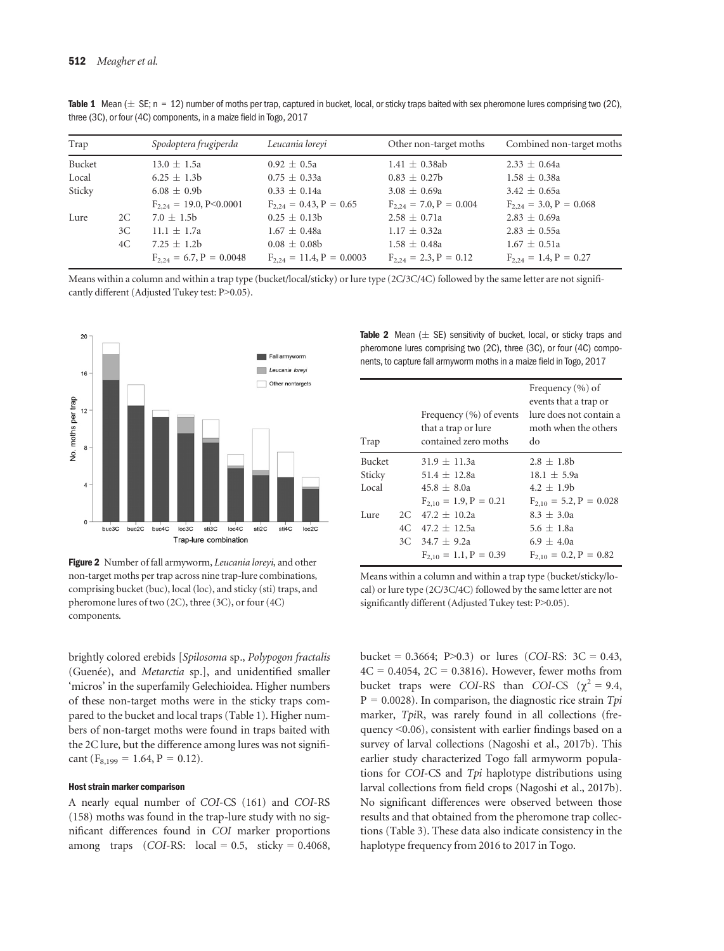|  | <b>Table 1</b> Mean ( $\pm$ SE; n = 12) number of moths per trap, captured in bucket, local, or sticky traps baited with sex pheromone lures comprising two (2C), |  |  |  |
|--|-------------------------------------------------------------------------------------------------------------------------------------------------------------------|--|--|--|
|  | three (3C), or four (4C) components, in a maize field in Togo, 2017                                                                                               |  |  |  |

| Trap   |    | Spodoptera frugiperda           | Leucania lorevi               | Other non-target moths      | Combined non-target moths   |
|--------|----|---------------------------------|-------------------------------|-----------------------------|-----------------------------|
| Bucket |    | $13.0 \pm 1.5a$                 | $0.92 \pm 0.5a$               | $1.41 \pm 0.38$ ab          | $2.33 \pm 0.64a$            |
| Local  |    | $6.25 \pm 1.3b$                 | $0.75 \pm 0.33a$              | $0.83 \pm 0.27$ b           | $1.58 \pm 0.38a$            |
| Sticky |    | $6.08 \pm 0.9b$                 | $0.33 \pm 0.14a$              | $3.08 \pm 0.69a$            | $3.42 \pm 0.65a$            |
|        |    | $F_{2,24} = 19.0, P \le 0.0001$ | $F_{2,24} = 0.43, P = 0.65$   | $F_{2,24} = 7.0, P = 0.004$ | $F_{2,24} = 3.0, P = 0.068$ |
| Lure   | 2C | $7.0 \pm 1.5b$                  | $0.25 \pm 0.13b$              | $2.58 \pm 0.71a$            | $2.83 \pm 0.69a$            |
|        | 3C | $11.1 \pm 1.7a$                 | $1.67 \pm 0.48a$              | $1.17 \pm 0.32a$            | $2.83 \pm 0.55a$            |
|        | 4C | 7.25 $\pm$ 1.2b                 | $0.08 \pm 0.08$               | $1.58 \pm 0.48a$            | $1.67 \pm 0.51a$            |
|        |    | $F_{2,24} = 6.7, P = 0.0048$    | $F_{2,24} = 11.4, P = 0.0003$ | $F_{2,24} = 2.3, P = 0.12$  | $F_{2,24} = 1.4, P = 0.27$  |

Means within a column and within a trap type (bucket/local/sticky) or lure type (2C/3C/4C) followed by the same letter are not significantly different (Adjusted Tukey test: P>0.05).



Figure 2 Number of fall armyworm, Leucania loreyi, and other non-target moths per trap across nine trap-lure combinations, comprising bucket (buc), local (loc), and sticky (sti) traps, and pheromone lures of two (2C), three (3C), or four (4C) components.

brightly colored erebids [Spilosoma sp., Polypogon fractalis (Guenée), and Metarctia sp.], and unidentified smaller 'micros' in the superfamily Gelechioidea. Higher numbers of these non-target moths were in the sticky traps compared to the bucket and local traps (Table 1). Higher numbers of non-target moths were found in traps baited with the 2C lure, but the difference among lures was not significant ( $F_{8,199} = 1.64$ ,  $P = 0.12$ ).

#### Host strain marker comparison

A nearly equal number of COI-CS (161) and COI-RS (158) moths was found in the trap-lure study with no significant differences found in COI marker proportions among traps  $(COI-RS: local = 0.5, sticky = 0.4068,$  Table 2 Mean  $(\pm$  SE) sensitivity of bucket, local, or sticky traps and pheromone lures comprising two (2C), three (3C), or four (4C) components, to capture fall armyworm moths in a maize field in Togo, 2017

| Trap          |     | Frequency $(\% )$ of events<br>that a trap or lure<br>contained zero moths | Frequency $(\% )$ of<br>events that a trap or<br>lure does not contain a<br>moth when the others<br>do |
|---------------|-----|----------------------------------------------------------------------------|--------------------------------------------------------------------------------------------------------|
| <b>Bucket</b> |     | $31.9 + 11.3a$                                                             | $2.8 \pm 1.8$ h                                                                                        |
| Sticky        |     | $51.4 \pm 12.8a$                                                           | $18.1 + 5.9a$                                                                                          |
| Local         |     | $45.8 + 8.0a$                                                              | $4.2 + 1.9b$                                                                                           |
|               |     | $F_{2,10} = 1.9, P = 0.21$                                                 | $F_{2,10} = 5.2, P = 0.028$                                                                            |
| Lure          |     | $2C$ 47.2 + 10.2a                                                          | $8.3 + 3.0a$                                                                                           |
|               | 4C. | $47.2 + 12.5a$                                                             | $5.6 + 1.8a$                                                                                           |
|               |     | $3C$ $34.7 + 9.2a$                                                         | $6.9 + 4.0a$                                                                                           |
|               |     | $F_{2,10} = 1.1, P = 0.39$                                                 | $F_{2,10} = 0.2, P = 0.82$                                                                             |

Means within a column and within a trap type (bucket/sticky/local) or lure type (2C/3C/4C) followed by the same letter are not significantly different (Adjusted Tukey test: P>0.05).

bucket =  $0.3664$ ; P $> 0.3$ ) or lures (COI-RS:  $3C = 0.43$ ,  $4C = 0.4054$ ,  $2C = 0.3816$ . However, fewer moths from bucket traps were COI-RS than COI-CS ( $\chi^2 = 9.4$ ,  $P = 0.0028$ ). In comparison, the diagnostic rice strain Tpi marker, TpiR, was rarely found in all collections (frequency <0.06), consistent with earlier findings based on a survey of larval collections (Nagoshi et al., 2017b). This earlier study characterized Togo fall armyworm populations for COI-CS and Tpi haplotype distributions using larval collections from field crops (Nagoshi et al., 2017b). No significant differences were observed between those results and that obtained from the pheromone trap collections (Table 3). These data also indicate consistency in the haplotype frequency from 2016 to 2017 in Togo.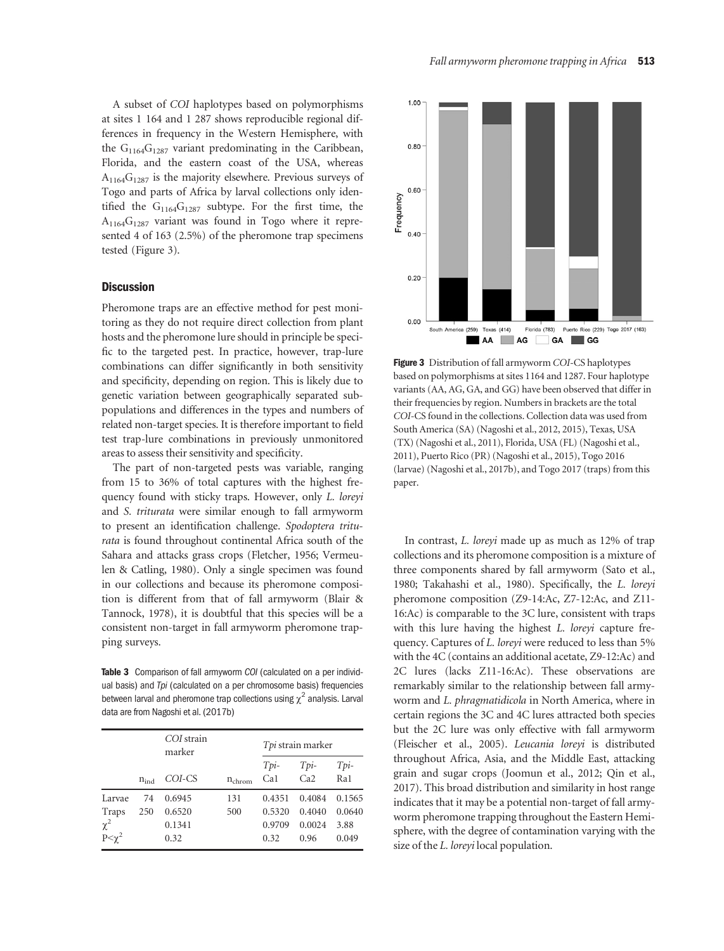A subset of COI haplotypes based on polymorphisms at sites 1 164 and 1 287 shows reproducible regional differences in frequency in the Western Hemisphere, with the  $G_{1164}G_{1287}$  variant predominating in the Caribbean, Florida, and the eastern coast of the USA, whereas  $A_{1164}G_{1287}$  is the majority elsewhere. Previous surveys of Togo and parts of Africa by larval collections only identified the  $G_{1164}G_{1287}$  subtype. For the first time, the  $A_{1164}G_{1287}$  variant was found in Togo where it represented 4 of 163 (2.5%) of the pheromone trap specimens tested (Figure 3).

# **Discussion**

Pheromone traps are an effective method for pest monitoring as they do not require direct collection from plant hosts and the pheromone lure should in principle be specific to the targeted pest. In practice, however, trap-lure combinations can differ significantly in both sensitivity and specificity, depending on region. This is likely due to genetic variation between geographically separated subpopulations and differences in the types and numbers of related non-target species. It is therefore important to field test trap-lure combinations in previously unmonitored areas to assess their sensitivity and specificity.

The part of non-targeted pests was variable, ranging from 15 to 36% of total captures with the highest frequency found with sticky traps. However, only L. loreyi and S. triturata were similar enough to fall armyworm to present an identification challenge. Spodoptera triturata is found throughout continental Africa south of the Sahara and attacks grass crops (Fletcher, 1956; Vermeulen & Catling, 1980). Only a single specimen was found in our collections and because its pheromone composition is different from that of fall armyworm (Blair & Tannock, 1978), it is doubtful that this species will be a consistent non-target in fall armyworm pheromone trapping surveys.

Table 3 Comparison of fall armyworm COI (calculated on a per individual basis) and *Tpi* (calculated on a per chromosome basis) frequencies between larval and pheromone trap collections using  $\chi^2$  analysis. Larval data are from Nagoshi et al. (2017b)

|                |           | COI strain<br>marker |                    | Tpi strain marker |                |             |
|----------------|-----------|----------------------|--------------------|-------------------|----------------|-------------|
|                | $n_{ind}$ | COI-CS               | $n_{\text{chrom}}$ | $Tpi$ -<br>Ca1    | $Tpi$ -<br>Ca2 | Tpi-<br>Ra1 |
| Larvae         | 74        | 0.6945               | 131                | 0.4351            | 0.4084         | 0.1565      |
| Traps          | 250       | 0.6520               | 500                | 0.5320            | 0.4040         | 0.0640      |
| $\chi^2$       |           | 0.1341               |                    | 0.9709            | 0.0024         | 3.88        |
| $P < \gamma^2$ |           | 0.32                 |                    | 0.32              | 0.96           | 0.049       |



Figure 3 Distribution of fall armyworm COI-CS haplotypes based on polymorphisms at sites 1164 and 1287. Four haplotype variants (AA, AG, GA, and GG) have been observed that differ in their frequencies by region. Numbers in brackets are the total COI-CS found in the collections. Collection data was used from South America (SA) (Nagoshi et al., 2012, 2015), Texas, USA (TX) (Nagoshi et al., 2011), Florida, USA (FL) (Nagoshi et al., 2011), Puerto Rico (PR) (Nagoshi et al., 2015), Togo 2016 (larvae) (Nagoshi et al., 2017b), and Togo 2017 (traps) from this paper.

In contrast, L. loreyi made up as much as 12% of trap collections and its pheromone composition is a mixture of three components shared by fall armyworm (Sato et al., 1980; Takahashi et al., 1980). Specifically, the L. loreyi pheromone composition (Z9-14:Ac, Z7-12:Ac, and Z11- 16:Ac) is comparable to the 3C lure, consistent with traps with this lure having the highest L. loreyi capture frequency. Captures of L. loreyi were reduced to less than 5% with the 4C (contains an additional acetate, Z9-12:Ac) and 2C lures (lacks Z11-16:Ac). These observations are remarkably similar to the relationship between fall armyworm and L. phragmatidicola in North America, where in certain regions the 3C and 4C lures attracted both species but the 2C lure was only effective with fall armyworm (Fleischer et al., 2005). Leucania loreyi is distributed throughout Africa, Asia, and the Middle East, attacking grain and sugar crops (Joomun et al., 2012; Qin et al., 2017). This broad distribution and similarity in host range indicates that it may be a potential non-target of fall armyworm pheromone trapping throughout the Eastern Hemisphere, with the degree of contamination varying with the size of the L. loreyi local population.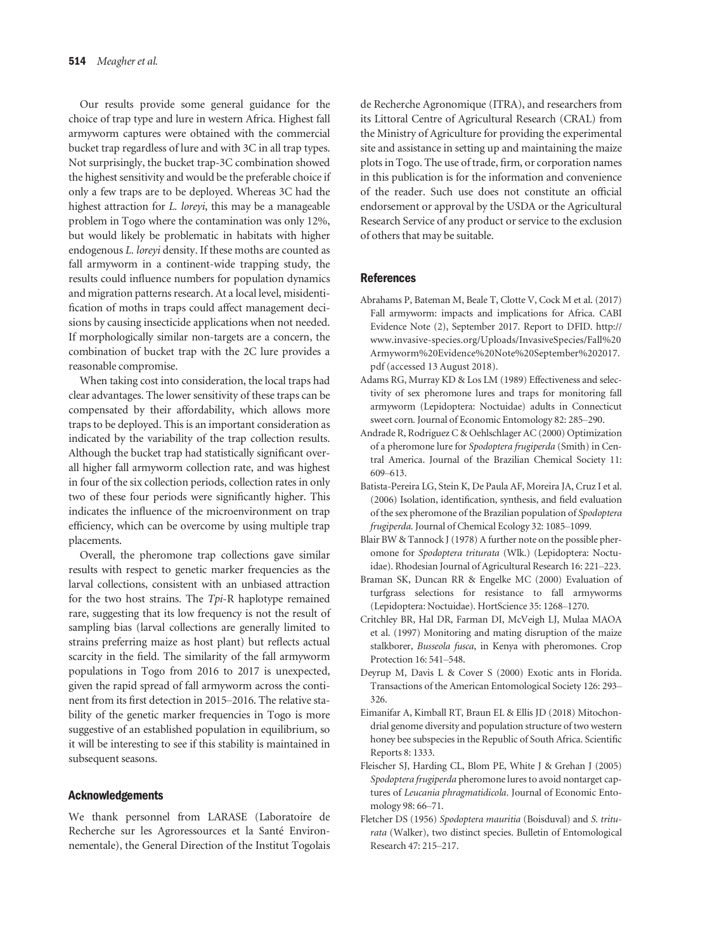Our results provide some general guidance for the choice of trap type and lure in western Africa. Highest fall armyworm captures were obtained with the commercial bucket trap regardless of lure and with 3C in all trap types. Not surprisingly, the bucket trap-3C combination showed the highest sensitivity and would be the preferable choice if only a few traps are to be deployed. Whereas 3C had the highest attraction for *L. loreyi*, this may be a manageable problem in Togo where the contamination was only 12%, but would likely be problematic in habitats with higher endogenous L. loreyi density. If these moths are counted as fall armyworm in a continent-wide trapping study, the results could influence numbers for population dynamics and migration patterns research. At a local level, misidentification of moths in traps could affect management decisions by causing insecticide applications when not needed. If morphologically similar non-targets are a concern, the combination of bucket trap with the 2C lure provides a reasonable compromise.

When taking cost into consideration, the local traps had clear advantages. The lower sensitivity of these traps can be compensated by their affordability, which allows more traps to be deployed. This is an important consideration as indicated by the variability of the trap collection results. Although the bucket trap had statistically significant overall higher fall armyworm collection rate, and was highest in four of the six collection periods, collection rates in only two of these four periods were significantly higher. This indicates the influence of the microenvironment on trap efficiency, which can be overcome by using multiple trap placements.

Overall, the pheromone trap collections gave similar results with respect to genetic marker frequencies as the larval collections, consistent with an unbiased attraction for the two host strains. The Tpi-R haplotype remained rare, suggesting that its low frequency is not the result of sampling bias (larval collections are generally limited to strains preferring maize as host plant) but reflects actual scarcity in the field. The similarity of the fall armyworm populations in Togo from 2016 to 2017 is unexpected, given the rapid spread of fall armyworm across the continent from its first detection in 2015–2016. The relative stability of the genetic marker frequencies in Togo is more suggestive of an established population in equilibrium, so it will be interesting to see if this stability is maintained in subsequent seasons.

# Acknowledgements

We thank personnel from LARASE (Laboratoire de Recherche sur les Agroressources et la Santé Environnementale), the General Direction of the Institut Togolais

de Recherche Agronomique (ITRA), and researchers from its Littoral Centre of Agricultural Research (CRAL) from the Ministry of Agriculture for providing the experimental site and assistance in setting up and maintaining the maize plots in Togo. The use of trade, firm, or corporation names in this publication is for the information and convenience of the reader. Such use does not constitute an official endorsement or approval by the USDA or the Agricultural Research Service of any product or service to the exclusion of others that may be suitable.

# References

- Abrahams P, Bateman M, Beale T, Clotte V, Cock M et al. (2017) Fall armyworm: impacts and implications for Africa. CABI Evidence Note (2), September 2017. Report to DFID. [http://](http://www.invasive-species.org/Uploads/InvasiveSpecies/Fall%2520Armyworm%2520Evidence%2520Note%2520September%25202017.pdf) [www.invasive-species.org/Uploads/InvasiveSpecies/Fall%20](http://www.invasive-species.org/Uploads/InvasiveSpecies/Fall%2520Armyworm%2520Evidence%2520Note%2520September%25202017.pdf) [Armyworm%20Evidence%20Note%20September%202017.](http://www.invasive-species.org/Uploads/InvasiveSpecies/Fall%2520Armyworm%2520Evidence%2520Note%2520September%25202017.pdf) [pdf](http://www.invasive-species.org/Uploads/InvasiveSpecies/Fall%2520Armyworm%2520Evidence%2520Note%2520September%25202017.pdf) (accessed 13 August 2018).
- Adams RG, Murray KD & Los LM (1989) Effectiveness and selectivity of sex pheromone lures and traps for monitoring fall armyworm (Lepidoptera: Noctuidae) adults in Connecticut sweet corn. Journal of Economic Entomology 82: 285–290.
- Andrade R, Rodriguez C & Oehlschlager AC (2000) Optimization of a pheromone lure for Spodoptera frugiperda (Smith) in Central America. Journal of the Brazilian Chemical Society 11: 609–613.
- Batista-Pereira LG, Stein K, De Paula AF, Moreira JA, Cruz I et al. (2006) Isolation, identification, synthesis, and field evaluation of the sex pheromone of the Brazilian population of Spodoptera frugiperda. Journal of Chemical Ecology 32: 1085–1099.
- Blair BW & Tannock J (1978) A further note on the possible pheromone for Spodoptera triturata (Wlk.) (Lepidoptera: Noctuidae). Rhodesian Journal of Agricultural Research 16: 221–223.
- Braman SK, Duncan RR & Engelke MC (2000) Evaluation of turfgrass selections for resistance to fall armyworms (Lepidoptera: Noctuidae). HortScience 35: 1268–1270.
- Critchley BR, Hal DR, Farman DI, McVeigh LJ, Mulaa MAOA et al. (1997) Monitoring and mating disruption of the maize stalkborer, Busseola fusca, in Kenya with pheromones. Crop Protection 16: 541–548.
- Deyrup M, Davis L & Cover S (2000) Exotic ants in Florida. Transactions of the American Entomological Society 126: 293– 326.
- Eimanifar A, Kimball RT, Braun EL & Ellis JD (2018) Mitochondrial genome diversity and population structure of two western honey bee subspecies in the Republic of South Africa. Scientific Reports 8: 1333.
- Fleischer SJ, Harding CL, Blom PE, White J & Grehan J (2005) Spodoptera frugiperda pheromone lures to avoid nontarget captures of Leucania phragmatidicola. Journal of Economic Entomology 98: 66–71.
- Fletcher DS (1956) Spodoptera mauritia (Boisduval) and S. triturata (Walker), two distinct species. Bulletin of Entomological Research 47: 215–217.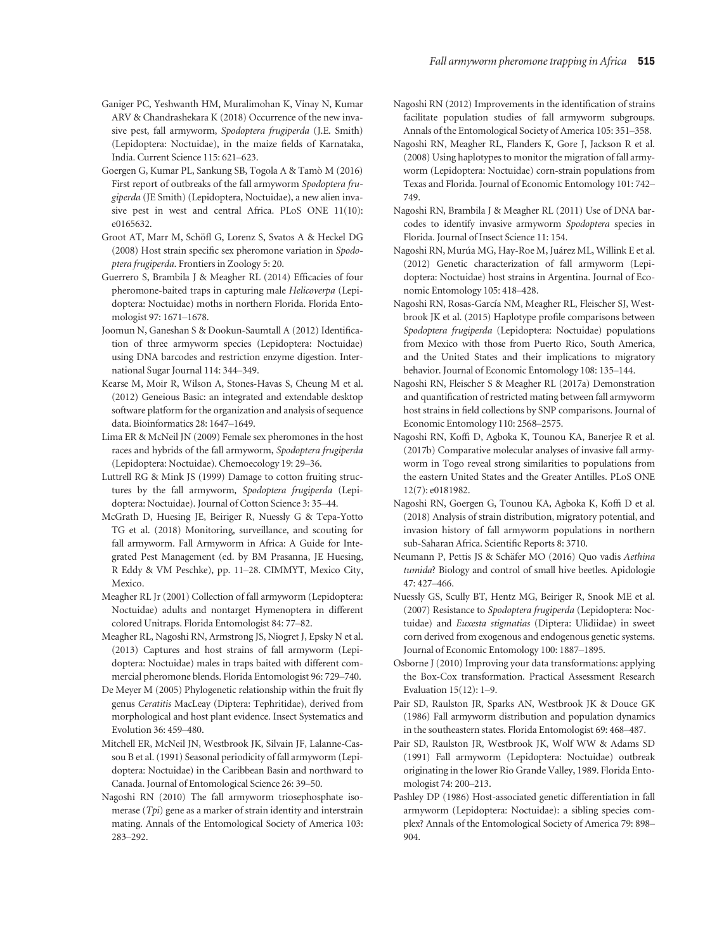- Ganiger PC, Yeshwanth HM, Muralimohan K, Vinay N, Kumar ARV & Chandrashekara K (2018) Occurrence of the new invasive pest, fall armyworm, Spodoptera frugiperda (J.E. Smith) (Lepidoptera: Noctuidae), in the maize fields of Karnataka, India. Current Science 115: 621–623.
- Goergen G, Kumar PL, Sankung SB, Togola A & Tamo M (2016) First report of outbreaks of the fall armyworm Spodoptera frugiperda (JE Smith) (Lepidoptera, Noctuidae), a new alien invasive pest in west and central Africa. PLoS ONE 11(10): e0165632.
- Groot AT, Marr M, Schöfl G, Lorenz S, Svatos A & Heckel DG (2008) Host strain specific sex pheromone variation in Spodoptera frugiperda. Frontiers in Zoology 5: 20.
- Guerrero S, Brambila J & Meagher RL (2014) Efficacies of four pheromone-baited traps in capturing male Helicoverpa (Lepidoptera: Noctuidae) moths in northern Florida. Florida Entomologist 97: 1671–1678.
- Joomun N, Ganeshan S & Dookun-Saumtall A (2012) Identification of three armyworm species (Lepidoptera: Noctuidae) using DNA barcodes and restriction enzyme digestion. International Sugar Journal 114: 344–349.
- Kearse M, Moir R, Wilson A, Stones-Havas S, Cheung M et al. (2012) Geneious Basic: an integrated and extendable desktop software platform for the organization and analysis of sequence data. Bioinformatics 28: 1647–1649.
- Lima ER & McNeil JN (2009) Female sex pheromones in the host races and hybrids of the fall armyworm, Spodoptera frugiperda (Lepidoptera: Noctuidae). Chemoecology 19: 29–36.
- Luttrell RG & Mink JS (1999) Damage to cotton fruiting structures by the fall armyworm, Spodoptera frugiperda (Lepidoptera: Noctuidae). Journal of Cotton Science 3: 35–44.
- McGrath D, Huesing JE, Beiriger R, Nuessly G & Tepa-Yotto TG et al. (2018) Monitoring, surveillance, and scouting for fall armyworm. Fall Armyworm in Africa: A Guide for Integrated Pest Management (ed. by BM Prasanna, JE Huesing, R Eddy & VM Peschke), pp. 11–28. CIMMYT, Mexico City, Mexico.
- Meagher RL Jr (2001) Collection of fall armyworm (Lepidoptera: Noctuidae) adults and nontarget Hymenoptera in different colored Unitraps. Florida Entomologist 84: 77–82.
- Meagher RL, Nagoshi RN, Armstrong JS, Niogret J, Epsky N et al. (2013) Captures and host strains of fall armyworm (Lepidoptera: Noctuidae) males in traps baited with different commercial pheromone blends. Florida Entomologist 96: 729–740.
- De Meyer M (2005) Phylogenetic relationship within the fruit fly genus Ceratitis MacLeay (Diptera: Tephritidae), derived from morphological and host plant evidence. Insect Systematics and Evolution 36: 459–480.
- Mitchell ER, McNeil JN, Westbrook JK, Silvain JF, Lalanne-Cassou B et al. (1991) Seasonal periodicity of fall armyworm (Lepidoptera: Noctuidae) in the Caribbean Basin and northward to Canada. Journal of Entomological Science 26: 39–50.
- Nagoshi RN (2010) The fall armyworm triosephosphate isomerase  $(Tpi)$  gene as a marker of strain identity and interstrain mating. Annals of the Entomological Society of America 103: 283–292.
- Nagoshi RN (2012) Improvements in the identification of strains facilitate population studies of fall armyworm subgroups. Annals of the Entomological Society of America 105: 351–358.
- Nagoshi RN, Meagher RL, Flanders K, Gore J, Jackson R et al. (2008) Using haplotypes to monitor the migration of fall armyworm (Lepidoptera: Noctuidae) corn-strain populations from Texas and Florida. Journal of Economic Entomology 101: 742– 749.
- Nagoshi RN, Brambila J & Meagher RL (2011) Use of DNA barcodes to identify invasive armyworm Spodoptera species in Florida. Journal of Insect Science 11: 154.
- Nagoshi RN, Murúa MG, Hay-Roe M, Juárez ML, Willink E et al. (2012) Genetic characterization of fall armyworm (Lepidoptera: Noctuidae) host strains in Argentina. Journal of Economic Entomology 105: 418–428.
- Nagoshi RN, Rosas-García NM, Meagher RL, Fleischer SJ, Westbrook JK et al. (2015) Haplotype profile comparisons between Spodoptera frugiperda (Lepidoptera: Noctuidae) populations from Mexico with those from Puerto Rico, South America, and the United States and their implications to migratory behavior. Journal of Economic Entomology 108: 135–144.
- Nagoshi RN, Fleischer S & Meagher RL (2017a) Demonstration and quantification of restricted mating between fall armyworm host strains in field collections by SNP comparisons. Journal of Economic Entomology 110: 2568–2575.
- Nagoshi RN, Koffi D, Agboka K, Tounou KA, Banerjee R et al. (2017b) Comparative molecular analyses of invasive fall armyworm in Togo reveal strong similarities to populations from the eastern United States and the Greater Antilles. PLoS ONE 12(7): e0181982.
- Nagoshi RN, Goergen G, Tounou KA, Agboka K, Koffi D et al. (2018) Analysis of strain distribution, migratory potential, and invasion history of fall armyworm populations in northern sub-Saharan Africa. Scientific Reports 8: 3710.
- Neumann P, Pettis JS & Schäfer MO (2016) Quo vadis Aethina tumida? Biology and control of small hive beetles. Apidologie 47: 427–466.
- Nuessly GS, Scully BT, Hentz MG, Beiriger R, Snook ME et al. (2007) Resistance to Spodoptera frugiperda (Lepidoptera: Noctuidae) and Euxesta stigmatias (Diptera: Ulidiidae) in sweet corn derived from exogenous and endogenous genetic systems. Journal of Economic Entomology 100: 1887–1895.
- Osborne J (2010) Improving your data transformations: applying the Box-Cox transformation. Practical Assessment Research Evaluation 15(12): 1–9.
- Pair SD, Raulston JR, Sparks AN, Westbrook JK & Douce GK (1986) Fall armyworm distribution and population dynamics in the southeastern states. Florida Entomologist 69: 468–487.
- Pair SD, Raulston JR, Westbrook JK, Wolf WW & Adams SD (1991) Fall armyworm (Lepidoptera: Noctuidae) outbreak originating in the lower Rio Grande Valley, 1989. Florida Entomologist 74: 200–213.
- Pashley DP (1986) Host-associated genetic differentiation in fall armyworm (Lepidoptera: Noctuidae): a sibling species complex? Annals of the Entomological Society of America 79: 898– 904.